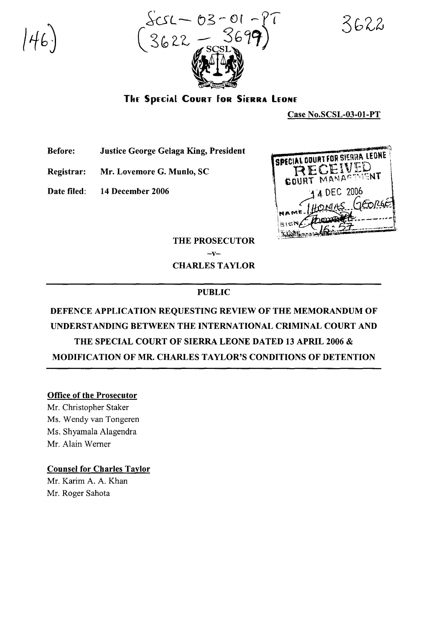

3622

The Special Court for Sierra Leone

Case No.SCSL-03-01-PT

Before: Justice George Gelaga King, President

Registrar: Mr. Lovemore G. Munlo, SC

Date filed: 14 December 2006



THE PROSECUTOR

 $-v-$ CHARLES TAYLOR

#### PUBLIC

# DEFENCE APPLICATION REQUESTING REVIEW OF THE MEMORANDUM OF UNDERSTANDING BETWEEN THE INTERNATIONAL CRIMINAL COURT AND THE SPECIAL COURT OF SIERRA LEONE DATED 13 APRIL 2006 & MODIFICATION OF MR. CHARLES TAYLOR'S CONDITIONS OF DETENTION

#### Office of the Prosecutor

Mr. Christopher Staker Ms. Wendy van Tongeren Ms. Shyamala Alagendra Mr. Alain Wemer

#### Counsel for Charles Taylor

Mr. Karim A. A. Khan Mr. Roger Sahota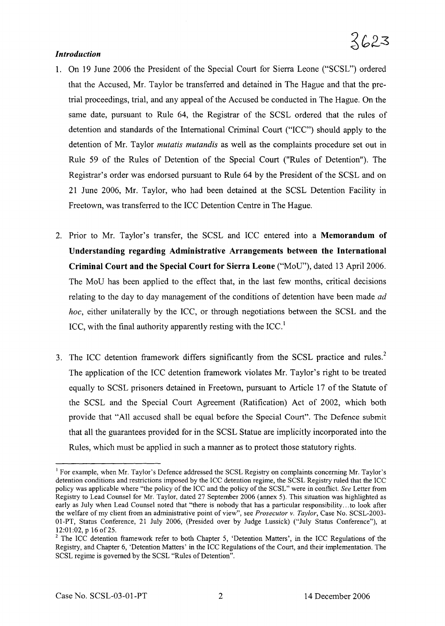#### *Introduction*

- 1. On 19 June 2006 the President of the Special Court for Sierra Leone ("SCSL") ordered that the Accused, Mr. Taylor be transferred and detained in The Hague and that the pretrial proceedings, trial, and any appeal of the Accused be conducted in The Hague. On the same date, pursuant to Rule 64, the Registrar of the SCSL ordered that the rules of detention and standards of the International Criminal Court ("ICC") should apply to the detention of Mr. Taylor *mutatis mutandis* as well as the complaints procedure set out in Rule 59 of the Rules of Detention of the Special Court ("Rules of Detention"). The Registrar's order was endorsed pursuant to Rule 64 by the President of the SCSL and on 21 June 2006, Mr. Taylor, who had been detained at the SCSL Detention Facility in Freetown, was transferred to the ICC Detention Centre in The Hague.
- 2. Prior to Mr. Taylor's transfer, the SCSL and ICC entered into a **Memorandum of Understanding regarding Administrative Arrangements between the International Criminal Court and the Special Court for Sierra Leone** ("MoD"), dated 13 April 2006. The MoD has been applied to the effect that, in the last few months, critical decisions relating to the day to day management of the conditions of detention have been made *ad hoc,* either unilaterally by the ICC, or through negotiations between the SCSL and the ICC, with the final authority apparently resting with the ICC.<sup>1</sup>
- 3. The ICC detention framework differs significantly from the SCSL practice and rules.<sup>2</sup> The application of the ICC detention framework violates Mr. Taylor's right to be treated equally to SCSL prisoners detained in Freetown, pursuant to Article 17 of the Statute of the SCSL and the Special Court Agreement (Ratification) Act of 2002, which both provide that "All accused shall be equal before the Special Court". The Defence submit that all the guarantees provided for in the SCSL Statue are implicitly incorporated into the Rules, which must be applied in such a manner as to protect those statutory rights.

<sup>&</sup>lt;sup>1</sup> For example, when Mr. Taylor's Defence addressed the SCSL Registry on complaints concerning Mr. Taylor's detention conditions and restrictions imposed by the ICC detention regime, the SCSL Registry ruled that the ICC policy was applicable where "the policy of the ICC and the policy ofthe SCSL" were in conflict. *See* Letter from Registry to Lead Counsel for Mr. Taylor, dated 27 September 2006 (annex 5). This situation was highlighted as early as July when Lead Counsel noted that "there is nobody that has a particular responsibility...to look after the welfare of my client from an administrative point of view", see *Prosecutor* v. *Taylor,* Case No. SCSL-2003- Ol-PT, Status Conference, 21 July 2006, (Presided over by Judge Lussick) ("July Status Conference"), at 12:01:02, p 16 of 25.

 $2$  The ICC detention framework refer to both Chapter 5, 'Detention Matters', in the ICC Regulations of the Registry, and Chapter 6, 'Detention Matters' in the ICC Regulations of the Court, and their implementation. The SCSL regime is governed by the SCSL "Rules of Detention".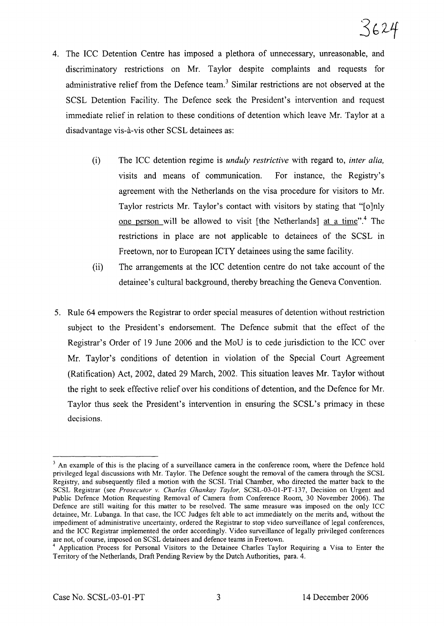- 4. The ICC Detention Centre has imposed a plethora of unnecessary, unreasonable, and discriminatory restrictions on Mr. Taylor despite complaints and requests for administrative relief from the Defence team.<sup>3</sup> Similar restrictions are not observed at the SCSL Detention Facility. The Defence seek the President's intervention and request immediate relief in relation to these conditions of detention which leave Mr. Taylor at a disadvantage vis-a-vis other SCSL detainees as:
	- (i) The ICC detention regime is *unduly restrictive* with regard to, *inter alia,* visits and means of communication. For instance, the Registry's agreement with the Netherlands on the visa procedure for visitors to Mr. Taylor restricts Mr. Taylor's contact with visitors by stating that "[o]nly one person will be allowed to visit [the Netherlands] at a time".<sup>4</sup> The restrictions in place are not applicable to detainees of the SCSL in Freetown, nor to European ICTY detainees using the same facility.
	- (ii) The arrangements at the ICC detention centre do not take account of the detainee's cultural background, thereby breaching the Geneva Convention.
- 5. Rule 64 empowers the Registrar to order special measures of detention without restriction subject to the President's endorsement. The Defence submit that the effect of the Registrar's Order of 19 June 2006 and the MoD is to cede jurisdiction to the ICC over Mr. Taylor's conditions of detention in violation of the Special Court Agreement (Ratification) Act, 2002, dated 29 March, 2002. This situation leaves Mr. Taylor without the right to seek effective relief over his conditions of detention, and the Defence for Mr. Taylor thus seek the President's intervention in ensuring the SCSL's primacy in these decisions.

<sup>&</sup>lt;sup>3</sup> An example of this is the placing of a surveillance camera in the conference room, where the Defence hold privileged legal discussions with Mr. Taylor. The Defence sought the removal of the camera through the SCSL Registry, and subsequently filed a motion with the SCSL Trial Chamber, who directed the matter back to the SCSL Registrar (see *Prosecutor v. Charles Ghankay Taylor,* SCSL-03-01-PT-137, Decision on Urgent and Public Defence Motion Requesting Removal of Camera from Conference Room, 30 November 2006). The Defence are still waiting for this matter to be resolved. The same measure was imposed on the only ICC detainee, Mr. Lubanga. In that case, the ICC Judges felt able to act immediately on the merits and, without the impediment of administrative uncertainty, ordered the Registrar to stop video surveillance of legal conferences, and the ICC Registrar implemented the order accordingly. Video surveillance of legally privileged conferences are not, of course, imposed on SCSL detainees and defence teams in Freetown.

<sup>4</sup> Application Process for Personal Visitors to the Detainee Charles Taylor Requiring a Visa to Enter the Territory of the Netherlands, Draft Pending Review by the Dutch Authorities, para. 4.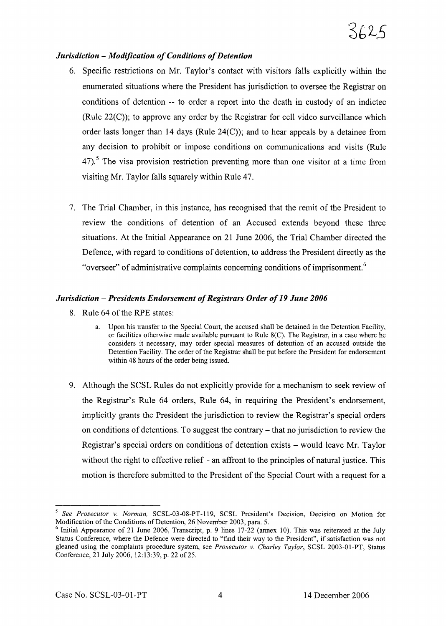### *Jurisdiction - Modification of Conditions of Detention*

- 6. Specific restrictions on Mr. Taylor's contact with visitors falls explicitly within the enumerated situations where the President has jurisdiction to oversee the Registrar on conditions of detention -- to order a report into the death in custody of an indictee (Rule 22(C)); to approve any order by the Registrar for cell video surveillance which order lasts longer than 14 days (Rule 24(C)); and to hear appeals by a detainee from any decision to prohibit or impose conditions on communications and visits (Rule  $47$ ).<sup>5</sup> The visa provision restriction preventing more than one visitor at a time from visiting Mr. Taylor falls squarely within Rule 47.
- 7. The Trial Chamber, in this instance, has recognised that the remit of the President to review the conditions of detention of an Accused extends beyond these three situations. At the Initial Appearance on 21 June 2006, the Trial Chamber directed the Defence, with regard to conditions of detention, to address the President directly as the "overseer" of administrative complaints concerning conditions of imprisonment.<sup>6</sup>

#### *Jurisdiction* – *Presidents Endorsement of Registrars Order of 19 June* 2006

- 8. Rule 64 of the RPE states:
	- a. Upon his transfer to the Special Court, the accused shall be detained in the Detention Facility, or facilities otherwise made available pursuant to Rule 8(C). The Registrar, in a case where he considers it necessary, may order special measures of detention of an accused outside the Detention Facility. The order of the Registrar shall be put before the President for endorsement within 48 hours of the order being issued.
- 9. Although the SCSL Rules do not explicitly provide for a mechanism to seek review of the Registrar's Rule 64 orders, Rule 64, in requiring the President's endorsement, implicitly grants the President the jurisdiction to review the Registrar's special orders on conditions of detentions. To suggest the contrary – that no jurisdiction to review the Registrar's special orders on conditions of detention exists - would leave Mr. Taylor without the right to effective relief  $-$  an affront to the principles of natural justice. This motion is therefore submitted to the President of the Special Court with a request for a

*<sup>5</sup> See Prosecutor* v. *Norman,* SCSL-03-08-PT-119, SCSL President's Decision, Decision on Motion for Modification of the Conditions of Detention, 26 November 2003, para. 5.

 $6$  Initial Appearance of 21 June 2006, Transcript, p. 9 lines 17-22 (annex 10). This was reiterated at the July Status Conference, where the Defence were directed to "find their way to the President", if satisfaction was not gleaned using the complaints procedure system, see *Prosecutor* v. *Charles Taylor,* SCSL 2003-01-PT, Status Conference, 21 July 2006, 12:13:39, p. 22 of 25.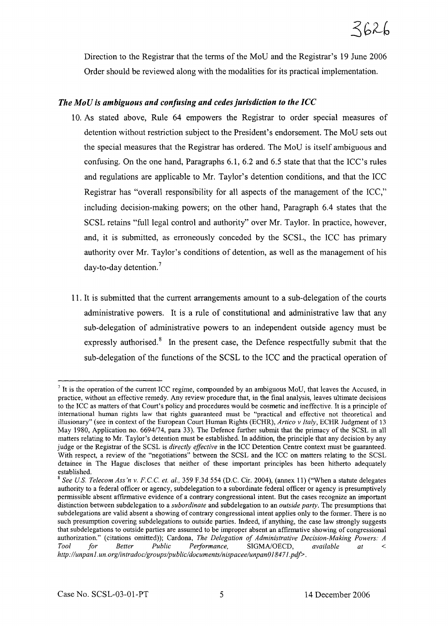Direction to the Registrar that the terms of the MoD and the Registrar's 19 June 2006 Order should be reviewed along with the modalities for its practical implementation.

## *The MoU is ambiguous and confusing and cedesjurisdiction to the ICC*

- 10. As stated above, Rule 64 empowers the Registrar to order special measures of detention without restriction subject to the President's endorsement. The MoD sets out the special measures that the Registrar has ordered. The MoD is itself ambiguous and confusing. On the one hand, Paragraphs 6.1, 6.2 and 6.5 state that that the ICC's rules and regulations are applicable to Mr. Taylor's detention conditions, and that the ICC Registrar has "overall responsibility for all aspects of the management of the ICC," including decision-making powers; on the other hand, Paragraph 6.4 states that the SCSL retains "full legal control and authority" over Mr. Taylor. In practice, however, and, it is submitted, as erroneously conceded by the SCSL, the ICC has primary authority over Mr. Taylor's conditions of detention, as well as the management of his day-to-day detention.?
- 11. It is submitted that the current arrangements amount to a sub-delegation of the courts administrative powers. It is a rule of constitutional and administrative law that any sub-delegation of administrative powers to an independent outside agency must be expressly authorised.<sup>8</sup> In the present case, the Defence respectfully submit that the sub-delegation of the functions of the SCSL to the ICC and the practical operation of

 $<sup>7</sup>$  It is the operation of the current ICC regime, compounded by an ambiguous MoU, that leaves the Accused, in</sup> practice, without an effective remedy. Any review procedure that, in the final analysis, leaves ultimate decisions to the ICC as matters of that Court's policy and procedures would be cosmetic and ineffective. It is a principle of international human rights law that rights guaranteed must be "practical and effective not theoretical and illusionary" (see in context of the European Court Human Rights (ECHR), *Artico v Italy,* ECHR Judgment of 13 May 1980, Application no. 6694/74, para 33). The Defence further submit that the primacy of the SCSL in all matters relating to Mr. Taylor's detention must be established. In addition, the principle that any decision by any judge or the Registrar of the SCSL is *directly effective* in the ICC Detention Centre context must be guaranteed. With respect, a review of the "negotiations" between the SCSL and the ICC on matters relating to the SCSL detainee in The Hague discloses that neither of these important principles has been hitherto adequately established.

<sup>8</sup> *See u.s. Telecom Ass'n v. F.CC et. al.,* 359 F.3d 554 (D.C. Cir. 2004), (annex 11) ("When a statute delegates authority to a federal officer or agency, subdelegation to a subordinate federal officer or agency is presumptively permissible absent affirmative evidence of a contrary congressional intent. But the cases recognize an important distinction between subdelegation to a *subordinate* and subdelegation to an *outside party.* The presumptions that subdelegations are valid absent a showing of contrary congressional intent applies only to the former. There is no such presumption covering subdelegations to outside parties. Indeed, if anything, the case law strongly suggests that subdelegations to outside parties are assumed to be improper absent an affirmative showing of congressional authorization." (citations omitted)); Cardona, *The Delegation of Administrative Decision-Making Powers: A*  $\overline{SIGMA/OECD}$ , *available at* < *http://unpan*1. *un. org/intradocigroups/publicidocuments/nispacee/unpanO*184*71.pdf>.*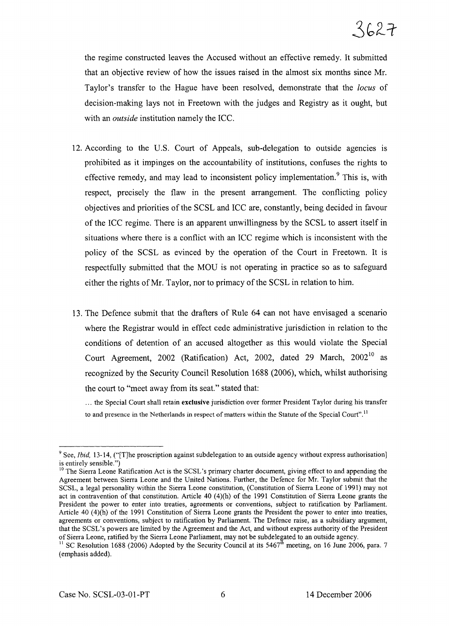the regime constructed leaves the Accused without an effective remedy. It submitted that an objective review of how the issues raised in the almost six months since Mr. Taylor's transfer to the Hague have been resolved, demonstrate that the *locus* of decision-making lays not in Freetown with the judges and Registry as it ought, but with an *outside* institution namely the ICC.

- 12. According to the U.S. Court of Appeals, sub-delegation to outside agencies is prohibited as it impinges on the accountability of institutions, confuses the rights to effective remedy, and may lead to inconsistent policy implementation.<sup>9</sup> This is, with respect, precisely the flaw in the present arrangement. The conflicting policy objectives and priorities ofthe SCSL and ICC are, constantly, being decided in favour of the ICC regime. There is an apparent unwillingness by the SCSL to assert itself in situations where there is a conflict with an ICC regime which is inconsistent with the policy of the SCSL as evinced by the operation of the Court in Freetown. It is respectfully submitted that the MOD is not operating in practice so as to safeguard either the rights of Mr. Taylor, nor to primacy of the SCSL in relation to him.
- 13. The Defence submit that the drafters of Rule 64 can not have envisaged a scenario where the Registrar would in effect cede administrative jurisdiction in relation to the conditions of detention of an accused altogether as this would violate the Special Court Agreement, 2002 (Ratification) Act, 2002, dated 29 March,  $2002^{10}$  as recognized by the Security Council Resolution 1688 (2006), which, whilst authorising the court to "meet away from its seat." stated that:

... the Special Court shall retain exclusive jurisdiction over former President Taylor during his transfer to and presence in the Netherlands in respect of matters within the Statute of the Special Court".<sup>11</sup>

<sup>&</sup>lt;sup>9</sup> See, *Ibid*, 13-14, ("T]he proscription against subdelegation to an outside agency without express authorisation] is entirely sensible.")

<sup>&</sup>lt;sup>10</sup> The Sierra Leone Ratification Act is the SCSL's primary charter document, giving effect to and appending the Agreement between Sierra Leone and the United Nations. Further, the Defence for Mr. Taylor submit that the SCSL, a legal personality within the Sierra Leone constitution, (Constitution of Sierra Leone of 1991) may not act in contravention of that constitution. Article 40 (4)(h) of the 1991 Constitution of Sierra Leone grants the President the power to enter into treaties, agreements or conventions, subject to ratification by Parliament. Article 40 (4)(h) of the 1991 Constitution of Sierra Leone grants the President the power to enter into treaties, agreements or conventions, subject to ratification by Parliament. The Defence raise, as a subsidiary argument, that the SCSL's powers are limited by the Agreement and the Act, and without express authority of the President of Sierra Leone, ratified by the Sierra Leone Parliament, may not be subdelegated to an outside agency.

<sup>&</sup>lt;sup>11</sup> SC Resolution 1688 (2006) Adopted by the Security Council at its 5467<sup>th</sup> meeting, on 16 June 2006, para. 7 (emphasis added).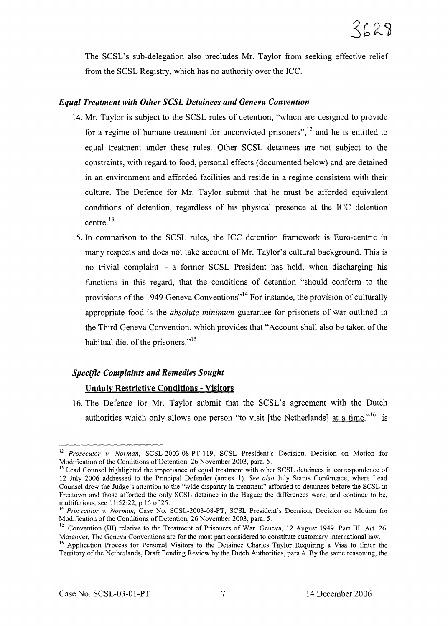The SCSL's sub-delegation also precludes Mr. Taylor from seeking effective relief from the SCSL Registry, which has no authority over the ICC.

## *Equal Treatment with Other SCSL Detainees and Geneva Convention*

- 14. Mr. Taylor is subject to the SCSL rules of detention, "which are designed to provide for a regime of humane treatment for unconvicted prisoners",<sup>12</sup> and he is entitled to equal treatment under these rules. Other SCSL detainees are not subject to the constraints, with regard to food, personal effects (documented below) and are detained in an environment and afforded facilities and reside in a regime consistent with their culture. The Defence for Mr. Taylor submit that he must be afforded equivalent conditions of detention, regardless of his physical presence at the ICC detention centre. <sup>13</sup>
- 15. In comparison to the SCSL rules, the ICC detention framework is Euro-centric in many respects and does not take account of Mr. Taylor's cultural background. This is no trivial complaint - a former SCSL President has held, when discharging his functions in this regard, that the conditions of detention "should conform to the provisions of the 1949 Geneva Conventions"<sup>14</sup> For instance, the provision of culturally appropriate food is the *absolute minimum* guarantee for prisoners of war outlined in the Third Geneva Convention, which provides that "Account shall also be taken of the habitual diet of the prisoners."<sup>15</sup>

## *Specific Complaints and Remedies Sought*

## Unduly Restrictive Conditions - Visitors

16. The Defence for Mr. Taylor submit that the SCSL's agreement with the Dutch authorities which only allows one person "to visit [the Netherlands] at a time."<sup>16</sup> is

<sup>12</sup> *Prosecutor* v. *Norman,* SCSL-2003-08-PT-119, SCSL President's Decision, Decision on Motion for Modification of the Conditions of Detention, 26 November 2003, para. 5.

<sup>&</sup>lt;sup>13</sup> Lead Counsel highlighted the importance of equal treatment with other SCSL detainees in correspondence of 12 July 2006 addressed to the Principal Defender (annex 1). *See also* July Status Conference, where Lead Counsel drew the Judge's attention to the "wide disparity in treatment" afforded to detainees before the SCSL in Freetown and those afforded the only SCSL detainee in the Hague; the differences were, and continue to be, multifarious, see 11:52:22, p 15 of 25.

<sup>14</sup> *Prosecutor* v. *Norman,* Case No. SCSL-2003-08-PT, SCSL President's Decision, Decision on Motion for Modification of the Conditions of Detention, 26 November 2003, para. 5.

<sup>&</sup>lt;sup>15</sup> Convention (III) relative to the Treatment of Prisoners of War. Geneva, 12 August 1949. Part III: Art. 26. Moreover, The Geneva Conventions are for the most part considered to constitute customary international law.

<sup>&</sup>lt;sup>16</sup> Application Process for Personal Visitors to the Detainee Charles Taylor Requiring a Visa to Enter the Territory ofthe Netherlands, Draft Pending Review by the Dutch Authorities, para 4. By the same reasoning, the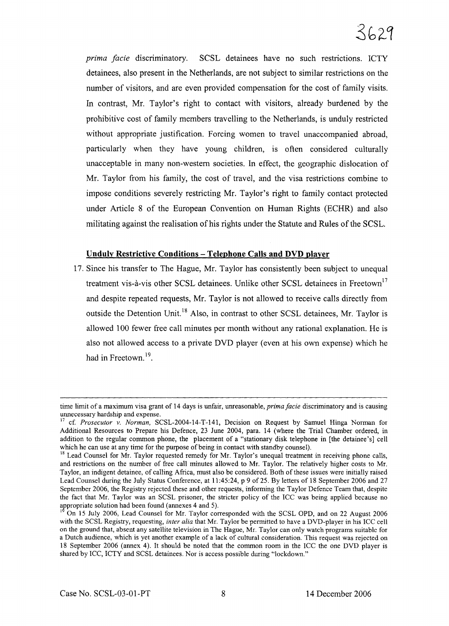*prima facie* discriminatory. SCSL detainees have no such restrictions. ICTY detainees, also present in the Netherlands, are not subject to similar restrictions on the number of visitors, and are even provided compensation for the cost of family visits. In contrast, Mr. Taylor's right to contact with visitors, already burdened by the prohibitive cost of family members travelling to the Netherlands, is unduly restricted without appropriate justification. Forcing women to travel unaccompanied abroad, particularly when they have young children, is often considered culturally unacceptable in many non-western societies. In effect, the geographic dislocation of Mr. Taylor from his family, the cost of travel, and the visa restrictions combine to impose conditions severely restricting Mr. Taylor's right to family contact protected under Article 8 of the European Convention on Human Rights (ECHR) and also militating against the realisation of his rights under the Statute and Rules ofthe SCSL.

### **Unduly Restrictive Conditions - Telephone Calls and DVD player**

17. Since his transfer to The Hague, Mr. Taylor has consistently been subject to unequal treatment vis-à-vis other SCSL detainees. Unlike other SCSL detainees in Freetown<sup>17</sup> and despite repeated requests, Mr. Taylor is not allowed to receive calls directly from outside the Detention Unit.<sup>18</sup> Also, in contrast to other SCSL detainees, Mr. Taylor is allowed 100 fewer free call minutes per month without any rational explanation. He is also not allowed access to a private DVD player (even at his own expense) which he had in Freetown.<sup>19</sup>.

time limit of a maximum visa grant of 14 days is unfair, unreasonable, *prima facie* discriminatory and is causing unnecessary hardship and expense.

<sup>&</sup>lt;sup>17</sup> cf. *Prosecutor* v. *Norman*, SCSL-2004-14-T-141, Decision on Request by Samuel Hinga Norman for Additional Resources to Prepare his Defence, 23 June 2004, para. 14 (where the Trial Chamber ordered, in addition to the regular common phone, the placement of a "stationary disk telephone in [the detainee's] cell which he can use at any time for the purpose of being in contact with standby counsel).

<sup>&</sup>lt;sup>18</sup> Lead Counsel for Mr. Taylor requested remedy for Mr. Taylor's unequal treatment in receiving phone calls, and restrictions on the number of free call minutes allowed to Mr. Taylor. The relatively higher costs to Mr. Taylor, an indigent detainee, of calling Africa, must also be considered. Both of these issues were initially raised Lead Counsel during the July Status Conference, at 11 :45:24, p 9 of 25. By letters of 18 September 2006 and 27 September 2006, the Registry rejected these and other requests, informing the Taylor Defence Team that, despite the fact that Mr. Taylor was an SCSL prisoner, the stricter policy of the ICC was being applied because no appropriate solution had been found (annexes 4 and 5).

<sup>I</sup> On 15 July 2006, Lead Counsel for Mr. Taylor corresponded with the SCSL OPD, and on 22 August 2006 with the SCSL Registry, requesting, *inter alia* that Mr. Taylor be permitted to have a DVD-player in his ICC cell on the ground that, absent any satellite television in The Hague, Mr. Taylor can only watch programs suitable for a Dutch audience, which is yet another example of a lack of cultural consideration. This request was rejected on 18 September 2006 (annex 4). It should be noted that the common room in the ICC the one DVD player is shared by ICC, ICTY and SCSL detainees. Nor is access possible during "lockdown."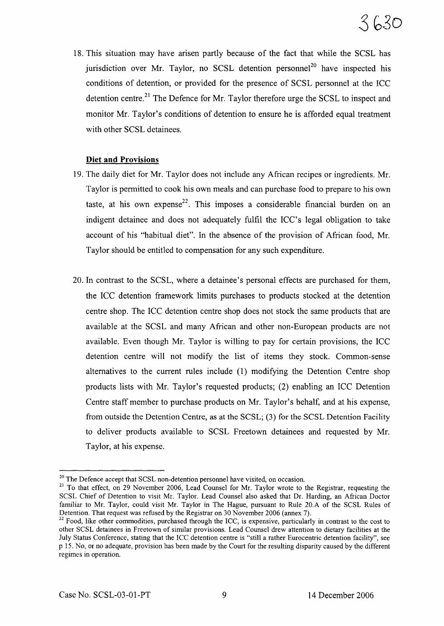18. This situation may have arisen partly because of the fact that while the SCSL has jurisdiction over Mr. Taylor, no SCSL detention personnel<sup>20</sup> have inspected his conditions of detention, or provided for the presence of SCSL personnel at the ICC detention centre.<sup>21</sup> The Defence for Mr. Taylor therefore urge the SCSL to inspect and monitor Mr. Taylor's conditions of detention to ensure he is afforded equal treatment with other SCSL detainees.

## **Diet and Provisions**

- 19. The daily diet for Mr. Taylor does not include any African recipes or ingredients. Mr. Taylor is permitted to cook his own meals and can purchase food to prepare to his own taste, at his own expense<sup>22</sup>. This imposes a considerable financial burden on an indigent detainee and does not adequately fulfil the ICC's legal obligation to take account of his "habitual diet". In the absence of the provision of African food, Mr. Taylor should be entitled to compensation for any such expenditure.
- 20. In contrast to the SCSL, where a detainee's personal effects are purchased for them, the ICC detention framework limits purchases to products stocked at the detention centre shop. The ICC detention centre shop does not stock the same products that are available at the SCSL and many African and other non-European products are not available. Even though Mr. Taylor is willing to pay for certain provisions, the ICC detention centre will not modify the list of items they stock. Common-sense alternatives to the current rules include (1) modifying the Detention Centre shop products lists with Mr. Taylor's requested products; (2) enabling an ICC Detention Centre staff member to purchase products on Mr. Taylor's behalf, and at his expense, from outside the Detention Centre, as at the SCSL; (3) for the SCSL Detention Facility to deliver products available to SCSL Freetown detainees and requested by Mr. Taylor, at his expense.

 $20$  The Defence accept that SCSL non-detention personnel have visited, on occasion.

<sup>&</sup>lt;sup>21</sup> To that effect, on 29 November 2006, Lead Counsel for Mr. Taylor wrote to the Registrar, requesting the SCSL Chief of Detention to visit Mr. Taylor. Lead Counsel also asked that Dr. Harding, an African Doctor familiar to Mr. Taylor, could visit Mr. Taylor in The Hague, pursuant to Rule 20.A of the SCSL Rules of Detention. That request was refused by the Registrar on 30 November 2006 (annex 7).

<sup>&</sup>lt;sup>22</sup> Food, like other commodities, purchased through the ICC, is expensive, particularly in contrast to the cost to other SCSL detainees in Freetown of similar provisions. Lead Counsel drew attention to dietary facilities at the July Status Conference, stating that the ICC detention centre is "still a rather Eurocentric detention facility", see p 15. No, or no adequate, provision has been made by the Court for the resulting disparity caused by the different regimes in operation.